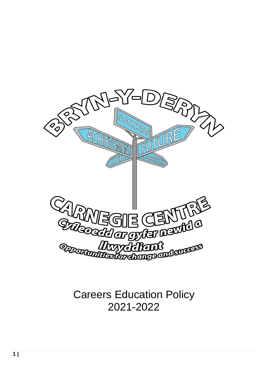

Careers Education Policy 2021-2022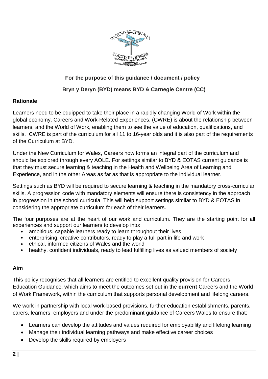

## **For the purpose of this guidance / document / policy**

## **Bryn y Deryn (BYD) means BYD & Carnegie Centre (CC)**

### **Rationale**

Learners need to be equipped to take their place in a rapidly changing World of Work within the global economy. Careers and Work-Related Experiences, (CWRE) is about the relationship between learners, and the World of Work, enabling them to see the value of education, qualifications, and skills. CWRE is part of the curriculum for all 11 to 16-year olds and it is also part of the requirements of the Curriculum at BYD.

Under the New Curriculum for Wales, Careers now forms an integral part of the curriculum and should be explored through every AOLE. For settings similar to BYD & EOTAS current guidance is that they must secure learning & teaching in the Health and Wellbeing Area of Learning and Experience, and in the other Areas as far as that is appropriate to the individual learner.

Settings such as BYD will be required to secure learning & teaching in the mandatory cross-curricular skills. A progression code with mandatory elements will ensure there is consistency in the approach in progression in the school curricula. This will help support settings similar to BYD & EOTAS in considering the appropriate curriculum for each of their learners.

The four purposes are at the heart of our work and curriculum. They are the starting point for all experiences and support our learners to develop into:

- ambitious, capable learners ready to learn throughout their lives
- enterprising, creative contributors, ready to play a full part in life and work
- ethical, informed citizens of Wales and the world
- healthy, confident individuals, ready to lead fulfilling lives as valued members of society

### **Aim**

This policy recognises that all learners are entitled to excellent quality provision for Careers Education Guidance, which aims to meet the outcomes set out in the **current** Careers and the World of Work Framework, within the curriculum that supports personal development and lifelong careers.

We work in partnership with local work-based provisions, further education establishments, parents, carers, learners, employers and under the predominant guidance of Careers Wales to ensure that:

- Learners can develop the attitudes and values required for employability and lifelong learning
- Manage their individual learning pathways and make effective career choices
- Develop the skills required by employers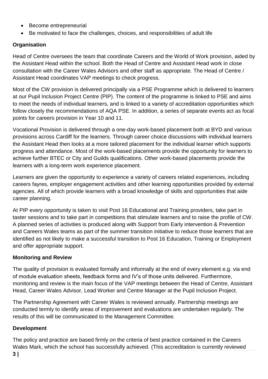- Become entrepreneurial
- Be motivated to face the challenges, choices, and responsibilities of adult life

# **Organisation**

Head of Centre oversees the team that coordinate Careers and the World of Work provision, aided by the Assistant Head within the school. Both the Head of Centre and Assistant Head work in close consultation with the Career Wales Advisors and other staff as appropriate. The Head of Centre / Assistant Head coordinates VAP meetings to check progress.

Most of the CW provision is delivered principally via a PSE Programme which is delivered to learners at our Pupil Inclusion Project Centre (PIP). The content of the programme is linked to PSE and aims to meet the needs of individual learners, and is linked to a variety of accreditation opportunities which follow closely the recommendations of AQA PSE. In addition, a series of separate events act as focal points for careers provision in Year 10 and 11.

Vocational Provision is delivered through a one-day work-based placement both at BYD and various provisions across Cardiff for the learners. Through career choice discussions with individual learners the Assistant Head then looks at a more tailored placement for the individual learner which supports progress and attendance. Most of the work-based placements provide the opportunity for learners to achieve further BTEC or City and Guilds qualifications. Other work-based placements provide the learners with a long-term work experience placement.

Learners are given the opportunity to experience a variety of careers related experiences, including careers fayres, employer engagement activities and other learning opportunities provided by external agencies. All of which provide learners with a broad knowledge of skills and opportunities that aide career planning.

At PIP every opportunity is taken to visit Post 16 Educational and Training providers, take part in taster sessions and to take part in competitions that stimulate learners and to raise the profile of CW. A planned series of activities is produced along with Support from Early intervention & Prevention and Careers Wales teams as part of the summer transition initiative to reduce those learners that are identified as not likely to make a successful transition to Post 16 Education, Training or Employment and offer appropriate support.

## **Monitoring and Review**

The quality of provision is evaluated formally and informally at the end of every element e.g. via end of module evaluation sheets, feedback forms and IV's of those units delivered. Furthermore, monitoring and review is the main focus of the VAP meetings between the Head of Centre, Assistant Head, Career Wales Advisor, Lead Worker and Centre Manager at the Pupil Inclusion Project.

The Partnership Agreement with Career Wales is reviewed annually. Partnership meetings are conducted termly to identify areas of improvement and evaluations are undertaken regularly. The results of this will be communicated to the Management Committee.

## **Development**

The policy and practice are based firmly on the criteria of best practice contained in the Careers Wales Mark, which the school has successfully achieved. (This accreditation is currently reviewed